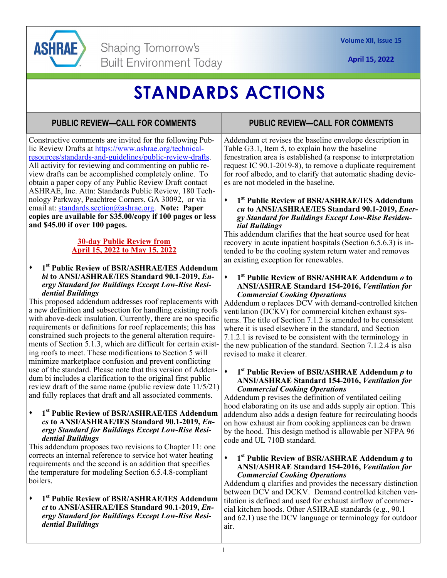

# **STANDARDS ACTIONS**

# **PUBLIC REVIEW—CALL FOR COMMENTS**

Constructive comments are invited for the following Public Review Drafts at https://www.ashrae.org/technicalresources/standards-and-guidelines/public-review-drafts. All activity for reviewing and commenting on public review drafts can be accomplished completely online. To obtain a paper copy of any Public Review Draft contact ASHRAE, Inc. Attn: Standards Public Review, 180 Technology Parkway, Peachtree Corners, GA 30092, or via email at: standards.section@ashrae.org. **Note: Paper copies are available for \$35.00/copy if 100 pages or less and \$45.00 if over 100 pages.** 

#### **30-day Public Review from April 15, 2022 to May 15, 2022**

#### **1st Public Review of BSR/ASHRAE/IES Addendum**  *bi* **to ANSI/ASHRAE/IES Standard 90.1-2019,** *Energy Standard for Buildings Except Low-Rise Residential Buildings*

This proposed addendum addresses roof replacements with a new definition and subsection for handling existing roofs with above-deck insulation. Currently, there are no specific requirements or definitions for roof replacements; this has constrained such projects to the general alteration requirements of Section 5.1.3, which are difficult for certain existing roofs to meet. These modifications to Section 5 will minimize marketplace confusion and prevent conflicting use of the standard. Please note that this version of Addendum bi includes a clarification to the original first public review draft of the same name (public review date 11/5/21) and fully replaces that draft and all associated comments.

**1st Public Review of BSR/ASHRAE/IES Addendum**  *cs* **to ANSI/ASHRAE/IES Standard 90.1-2019,** *Energy Standard for Buildings Except Low-Rise Residential Buildings*

This addendum proposes two revisions to Chapter 11: one corrects an internal reference to service hot water heating requirements and the second is an addition that specifies the temperature for modeling Section 6.5.4.8-compliant boilers.

**1st Public Review of BSR/ASHRAE/IES Addendum**  *ct* **to ANSI/ASHRAE/IES Standard 90.1-2019,** *Energy Standard for Buildings Except Low-Rise Residential Buildings*

# **PUBLIC REVIEW—CALL FOR COMMENTS**

Addendum ct revises the baseline envelope description in Table G3.1, Item 5, to explain how the baseline fenestration area is established (a response to interpretation request IC 90.1-2019-8), to remove a duplicate requirement for roof albedo, and to clarify that automatic shading devices are not modeled in the baseline.

#### **1st Public Review of BSR/ASHRAE/IES Addendum**  *cu* **to ANSI/ASHRAE/IES Standard 90.1-2019,** *Energy Standard for Buildings Except Low-Rise Residential Buildings*

This addendum clarifies that the heat source used for heat recovery in acute inpatient hospitals (Section 6.5.6.3) is intended to be the cooling system return water and removes an existing exception for renewables.

#### **1st Public Review of BSR/ASHRAE Addendum** *o* **to ANSI/ASHRAE Standard 154-2016,** *Ventilation for Commercial Cooking Operations*

Addendum o replaces DCV with demand-controlled kitchen ventilation (DCKV) for commercial kitchen exhaust systems. The title of Section 7.1.2 is amended to be consistent where it is used elsewhere in the standard, and Section 7.1.2.1 is revised to be consistent with the terminology in the new publication of the standard. Section 7.1.2.4 is also revised to make it clearer.

#### **1st Public Review of BSR/ASHRAE Addendum** *p* **to ANSI/ASHRAE Standard 154-2016,** *Ventilation for Commercial Cooking Operations*

Addendum p revises the definition of ventilated ceiling hood elaborating on its use and adds supply air option. This addendum also adds a design feature for recirculating hoods on how exhaust air from cooking appliances can be drawn by the hood. This design method is allowable per NFPA 96 code and UL 710B standard.

#### **1st Public Review of BSR/ASHRAE Addendum** *q* **to ANSI/ASHRAE Standard 154-2016,** *Ventilation for Commercial Cooking Operations*

Addendum q clarifies and provides the necessary distinction between DCV and DCKV. Demand controlled kitchen ventilation is defined and used for exhaust airflow of commercial kitchen hoods. Other ASHRAE standards (e.g., 90.1 and 62.1) use the DCV language or terminology for outdoor air.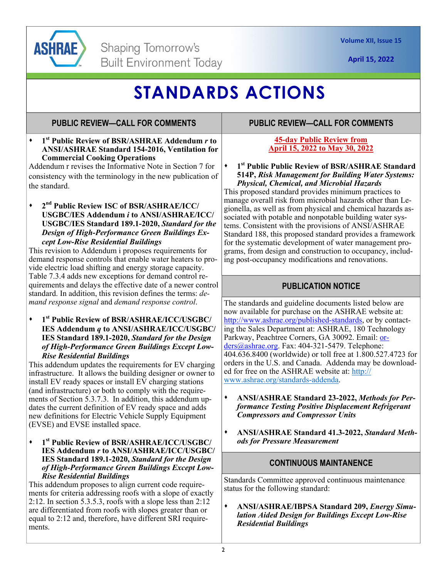

# **STANDARDS ACTIONS**

## **PUBLIC REVIEW—CALL FOR COMMENTS**

**1st Public Review of BSR/ASHRAE Addendum** *r* **to ANSI/ASHRAE Standard 154-2016, Ventilation for Commercial Cooking Operations** 

Addendum r revises the Informative Note in Section 7 for consistency with the terminology in the new publication of the standard.

**2nd Public Review ISC of BSR/ASHRAE/ICC/ USGBC/IES Addendum** *i* **to ANSI/ASHRAE/ICC/ USGBC/IES Standard 189.1-2020,** *Standard for the Design of High-Performance Green Buildings Except Low-Rise Residential Buildings* 

This revision to Addendum i proposes requirements for demand response controls that enable water heaters to provide electric load shifting and energy storage capacity. Table 7.3.4 adds new exceptions for demand control requirements and delays the effective date of a newer control standard. In addition, this revision defines the terms: *demand response signal* and *demand response control*.

**1st Public Review of BSR/ASHRAE/ICC/USGBC/ IES Addendum** *q* **to ANSI/ASHRAE/ICC/USGBC/ IES Standard 189.1-2020,** *Standard for the Design of High-Performance Green Buildings Except Low-Rise Residential Buildings* 

This addendum updates the requirements for EV charging infrastructure. It allows the building designer or owner to install EV ready spaces or install EV charging stations (and infrastructure) or both to comply with the requirements of Section 5.3.7.3. In addition, this addendum updates the current definition of EV ready space and adds new definitions for Electric Vehicle Supply Equipment (EVSE) and EVSE installed space.

**1st Public Review of BSR/ASHRAE/ICC/USGBC/ IES Addendum** *r* **to ANSI/ASHRAE/ICC/USGBC/ IES Standard 189.1-2020,** *Standard for the Design of High-Performance Green Buildings Except Low-Rise Residential Buildings* 

This addendum proposes to align current code requirements for criteria addressing roofs with a slope of exactly 2:12. In section 5.3.5.3, roofs with a slope less than 2:12 are differentiated from roofs with slopes greater than or equal to 2:12 and, therefore, have different SRI requirements.

## **PUBLIC REVIEW—CALL FOR COMMENTS**

### **45-day Public Review from April 15, 2022 to May 30, 2022**

**1st Public Public Review of BSR/ASHRAE Standard 514P,** *Risk Management for Building Water Systems: Physical, Chemical, and Microbial Hazards* 

This proposed standard provides minimum practices to manage overall risk from microbial hazards other than Legionella, as well as from physical and chemical hazards associated with potable and nonpotable building water systems. Consistent with the provisions of ANSI/ASHRAE Standard 188, this proposed standard provides a framework for the systematic development of water management programs, from design and construction to occupancy, including post-occupancy modifications and renovations.

# **PUBLICATION NOTICE**

The standards and guideline documents listed below are now available for purchase on the ASHRAE website at: http://www.ashrae.org/published-standards, or by contacting the Sales Department at: ASHRAE, 180 Technology Parkway, Peachtree Corners, GA 30092. Email: orders@ashrae.org. Fax: 404-321-5479. Telephone: 404.636.8400 (worldwide) or toll free at 1.800.527.4723 for orders in the U.S. and Canada. Addenda may be downloaded for free on the ASHRAE website at: http:// www.ashrae.org/standards-addenda.

- **ANSI/ASHRAE Standard 23-2022,** *Methods for Performance Testing Positive Displacement Refrigerant Compressors and Compressor Units*
- **ANSI/ASHRAE Standard 41.3-2022,** *Standard Methods for Pressure Measurement*

### **CONTINUOUS MAINTANENCE**

Standards Committee approved continuous maintenance status for the following standard:

**ANSI/ASHRAE/IBPSA Standard 209,** *Energy Simulation Aided Design for Buildings Except Low-Rise Residential Buildings*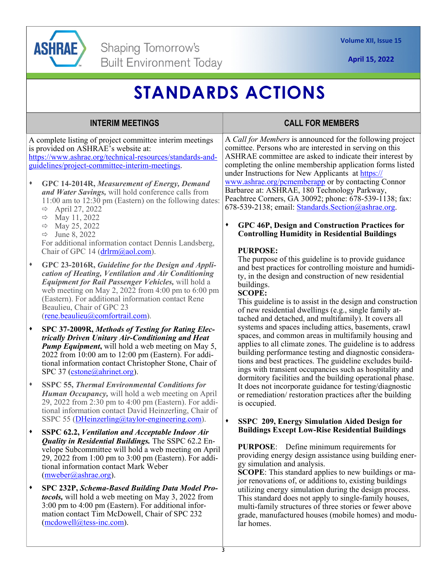

# **STANDARDS ACTIONS**

#### A complete listing of project committee interim meetings is provided on ASHRAE's website at: https://www.ashrae.org/technical-resources/standards-andguidelines/project-committee-interim-meetings. **GPC 14-2014R,** *Measurement of Energy, Demand and Water Savings,* will hold conference calls from 11:00 am to 12:30 pm (Eastern) on the following dates:  $\Rightarrow$  April 27, 2022  $\Rightarrow$  May 11, 2022  $\Rightarrow$  May 25, 2022  $\Rightarrow$  June 8, 2022 For additional information contact Dennis Landsberg, Chair of GPC 14 (drlrm@aol.com). **GPC 23-2016R,** *Guideline for the Design and Application of Heating, Ventilation and Air Conditioning Equipment for Rail Passenger Vehicles,* will hold a web meeting on May 2, 2022 from 4:00 pm to 6:00 pm (Eastern). For additional information contact Rene Beaulieu, Chair of GPC 23 (rene.beaulieu@comfortrail.com). **SPC 37-2009R,** *Methods of Testing for Rating Electrically Driven Unitary Air-Conditioning and Heat Pump Equipment***,** will hold a web meeting on May 5, 2022 from 10:00 am to 12:00 pm (Eastern). For additional information contact Christopher Stone, Chair of SPC 37 (cstone@ahrinet.org). **SSPC 55,** *Thermal Environmental Conditions for*  **INTERIM MEETINGS CALL FOR MEMBERS**  A *Call for Members* is announced for the following project comittee. Persons who are interested in serving on this ASHRAE committee are asked to indicate their interest by completing the online membership application forms listed under Instructions for New Applicants at https:// www.ashrae.org/pcmemberapp or by contacting Connor Barbaree at: ASHRAE, 180 Technology Parkway, Peachtree Corners, GA 30092; phone: 678-539-1138; fax: 678-539-2138; email: Standards.Section@ashrae.org. **GPC 46P, Design and Construction Practices for Controlling Humidity in Residential Buildings PURPOSE:** The purpose of this guideline is to provide guidance and best practices for controlling moisture and humidity, in the design and construction of new residential buildings. **SCOPE:** This guideline is to assist in the design and construction of new residential dwellings (e.g., single family attached and detached, and multifamily). It covers all systems and spaces including attics, basements, crawl spaces, and common areas in multifamily housing and applies to all climate zones. The guideline is to address building performance testing and diagnostic considerations and best practices. The guideline excludes buildings with transient occupancies such as hospitality and dormitory facilities and the building operational phase.

- *Human Occupancy,* will hold a web meeting on April 29, 2022 from 2:30 pm to 4:00 pm (Eastern). For additional information contact David Heinzerling, Chair of SSPC 55 (DHeinzerling@taylor-engineering.com).
- **SSPC 62.2,** *Ventilation and Acceptable Indoor Air Quality in Residential Buildings.* The SSPC 62.2 Envelope Subcommittee will hold a web meeting on April 29, 2022 from 1:00 pm to 3:00 pm (Eastern). For additional information contact Mark Weber (mweber@ashrae.org).
- **SPC 232P,** *Schema-Based Building Data Model Protocols,* will hold a web meeting on May 3, 2022 from 3:00 pm to 4:00 pm (Eastern). For additional information contact Tim McDowell, Chair of SPC 232 (mcdowell@tess-inc.com).

It does not incorporate guidance for testing/diagnostic or remediation/ restoration practices after the building is occupied.

### **SSPC 209, Energy Simulation Aided Design for Buildings Except Low-Rise Residential Buildings**

**PURPOSE**: Define minimum requirements for providing energy design assistance using building energy simulation and analysis.

**SCOPE**: This standard applies to new buildings or major renovations of, or additions to, existing buildings utilizing energy simulation during the design process. This standard does not apply to single-family houses, multi-family structures of three stories or fewer above grade, manufactured houses (mobile homes) and modular homes.